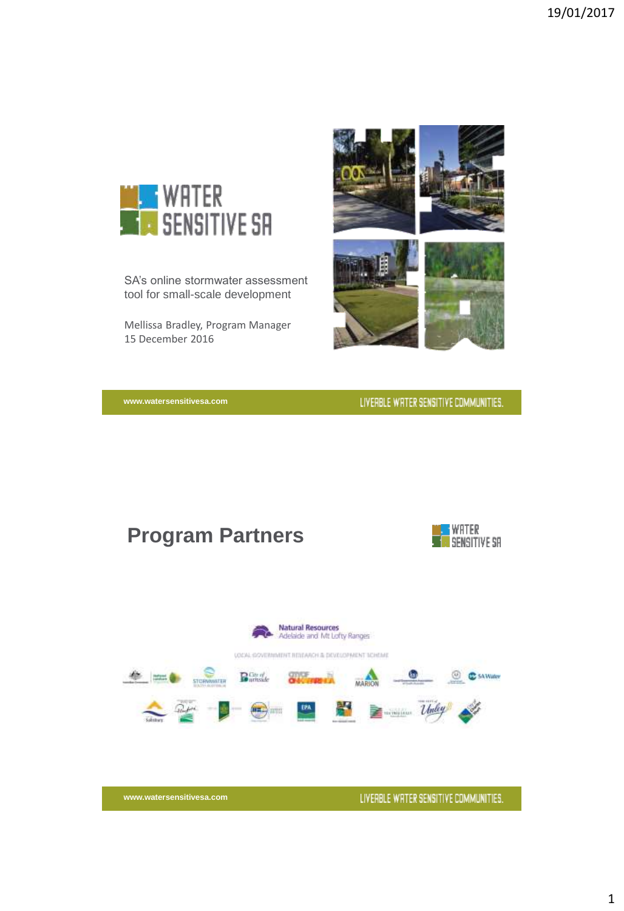

SA's online stormwater assessment tool for small-scale development

Mellissa Bradley, Program Manager 15 December 2016



**www.watersensitivesa.com**

LIVERBLE WRTER SENSITIVE COMMUNITIES.

# **Program Partners**



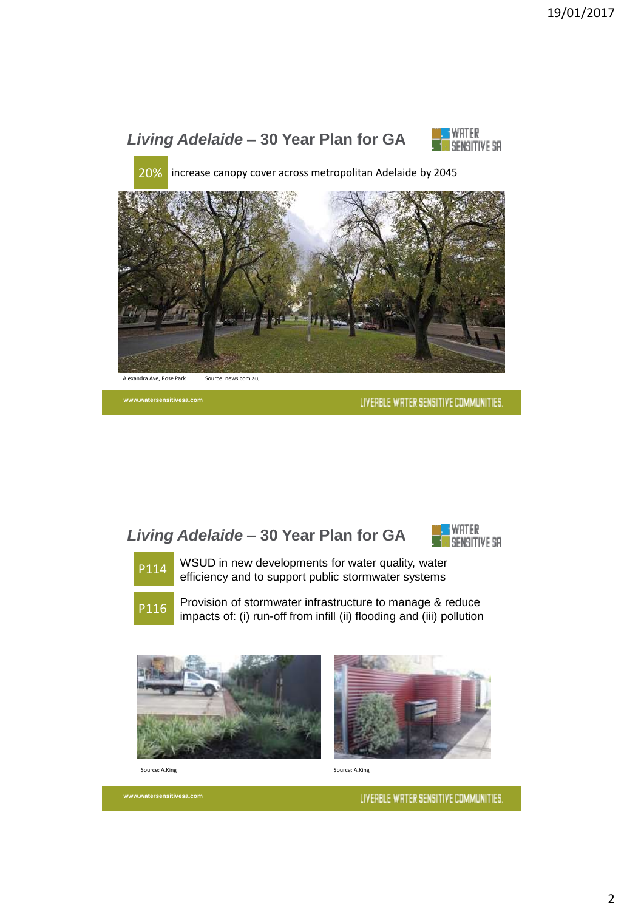

**www.watersensitivesa.com**

LIVERBLE WRTER SENSITIVE COMMUNITIES.

## *Living Adelaide* **– 30 Year Plan for GA**





WSUD in new developments for water quality, water p<sub>114</sub> WSUD in new developments for water quality, water<br>efficiency and to support public stormwater systems



P116 Provision of stormwater infrastructure to manage & reduce impacts of: (i) run-off from infill (ii) flooding and (iii) pollution





Source: A.King

**www.watersensitivesa.com**

Source: A.King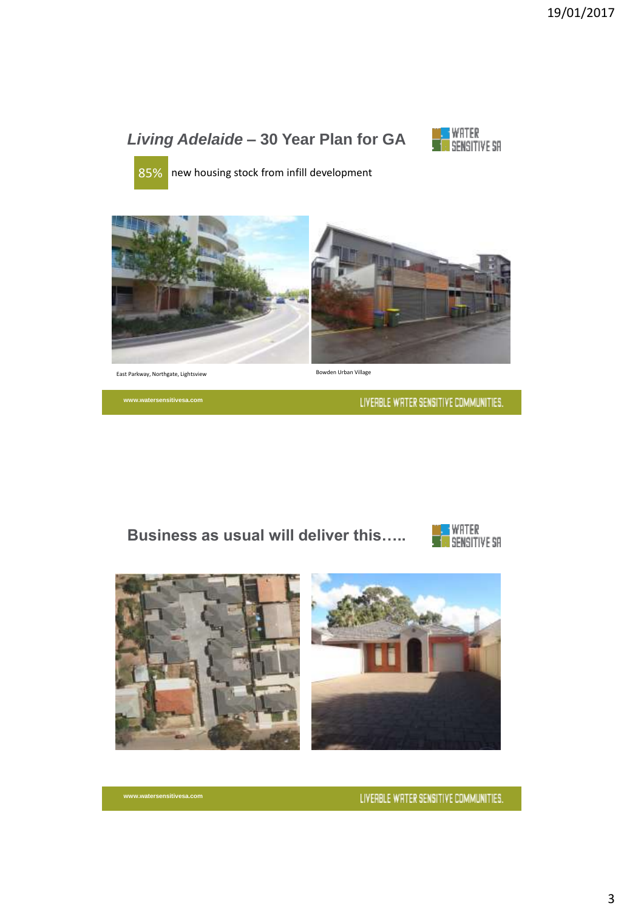# *Living Adelaide* **– 30 Year Plan for GA**



85% new housing stock from infill development



East Parkway, Northgate, Lightsview

**www.watersensitivesa.com**

Bowden Urban Village

LIVERBLE WRTER SENSITIVE COMMUNITIES.

### **Business as usual will deliver this…..**



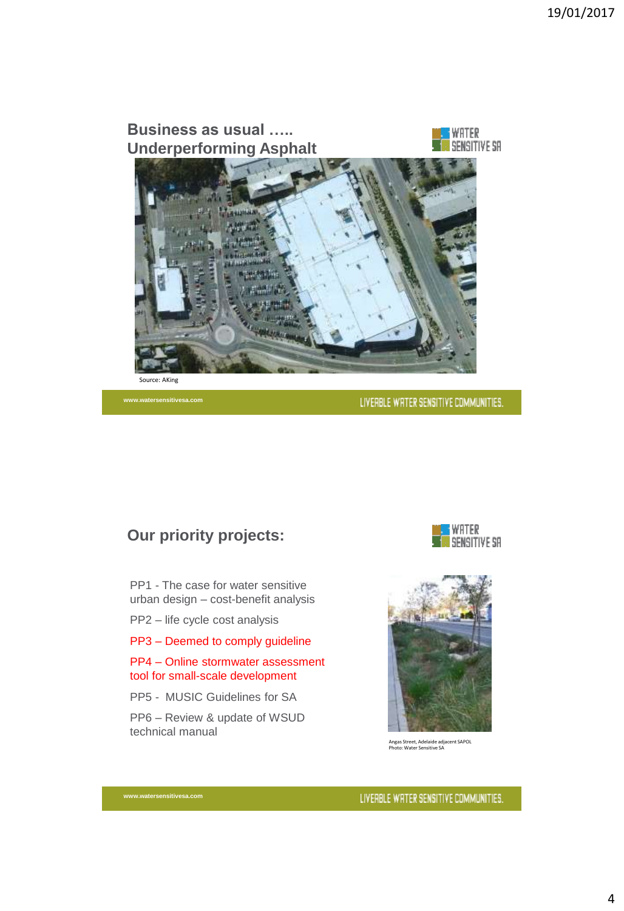

**www.watersensitivesa.com**

LIVERBLE WRTER SENSITIVE COMMUNITIES.

### **Our priority projects:**

PP1 - The case for water sensitive urban design – cost-benefit analysis

PP2 – life cycle cost analysis

PP3 – Deemed to comply guideline

PP4 – Online stormwater assessment tool for small-scale development

PP5 - MUSIC Guidelines for SA

PP6 – Review & update of WSUD technical manual

**www.watersensitivesa.com**





Angas Street, Adelaide adjacent SAPOL Photo: Water Sensitive SA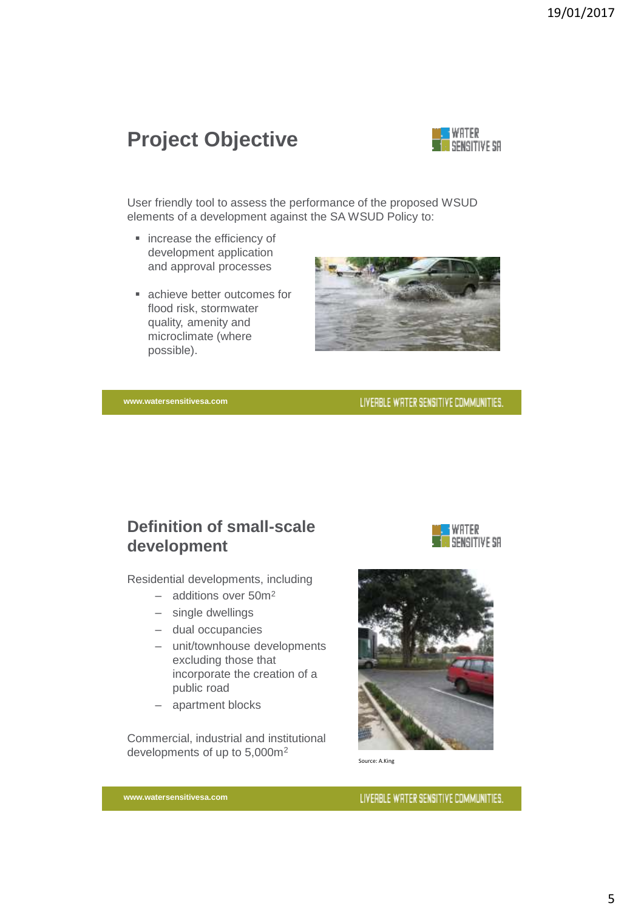# **Project Objective**



User friendly tool to assess the performance of the proposed WSUD elements of a development against the SA WSUD Policy to:

- **·** increase the efficiency of development application and approval processes
- achieve better outcomes for flood risk, stormwater quality, amenity and microclimate (where possible).



LIVERBLE WRTER SENSITIVE COMMUNITIES.

**www.watersensitivesa.com**

## **Definition of small-scale development**

Residential developments, including

- additions over 50m<sup>2</sup>
- single dwellings
- dual occupancies
- unit/townhouse developments excluding those that incorporate the creation of a public road
- apartment blocks

Commercial, industrial and institutional developments of up to 5,000m<sup>2</sup>





Source: A.King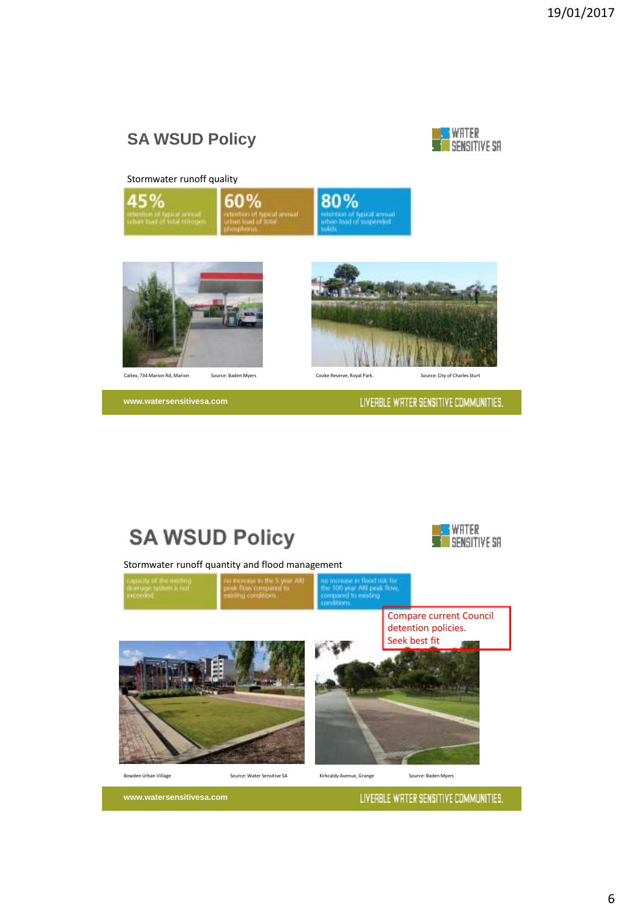# **SA WSUD Policy**



### Stormwater runoff quality







**www.watersensitivesa.com**

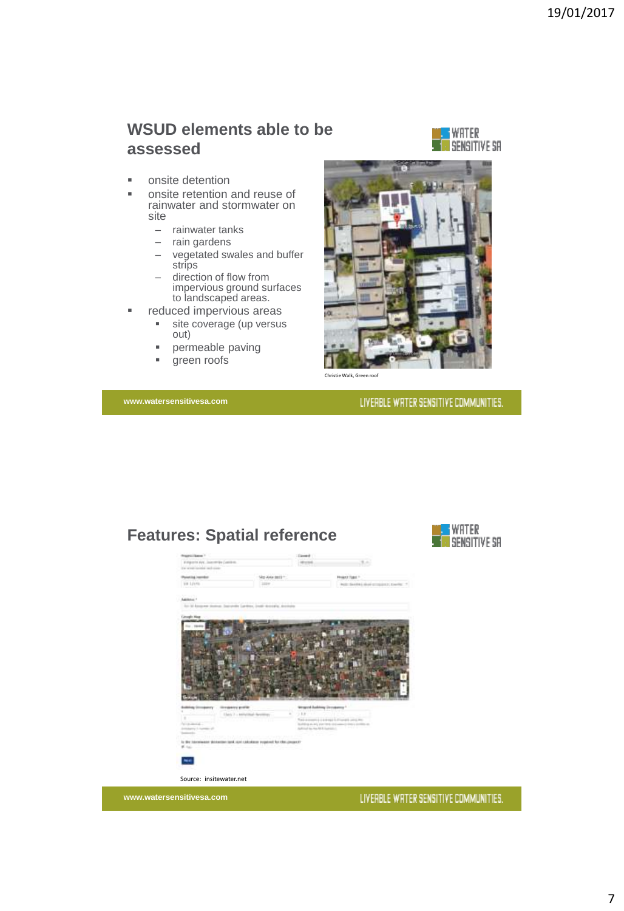### **WSUD elements able to be assessed**



- **n** onsite detention
- **netable 1** onsite retention and reuse of rainwater and stormwater on site
	- rainwater tanks
	- rain gardens
	- vegetated swales and buffer strips
	- direction of flow from impervious ground surfaces to landscaped areas.
- **reduced impervious areas** 
	- site coverage (up versus out)
	- **Permeable paving**
	- **qreen roofs**

**www.watersensitivesa.com**



Christie Walk, Green roof

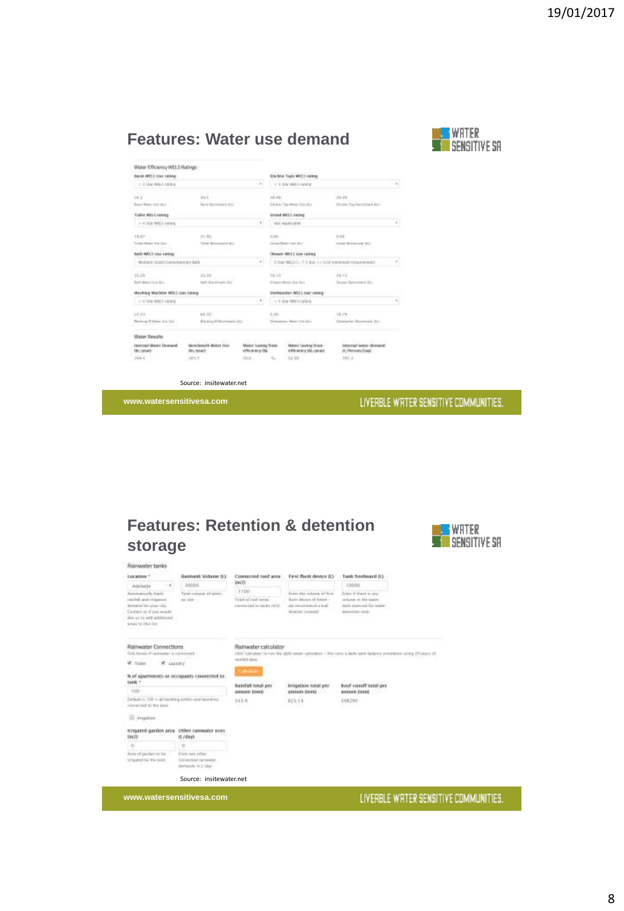## **Features: Water use demand**



| Water Efficiency WELS Ratings                                                |                                                  |                                      |                                                            |                                                          |                                               |    |
|------------------------------------------------------------------------------|--------------------------------------------------|--------------------------------------|------------------------------------------------------------|----------------------------------------------------------|-----------------------------------------------|----|
| Basic WELL year server                                                       |                                                  |                                      |                                                            | Olders, Taps WILL railing                                |                                               |    |
| THE R. P. LEWIS CO., LANSING MICH.<br><b>VIV-6</b><br>C 2114 WELLINGS<br>(a) |                                                  |                                      | or it line with hence                                      |                                                          |                                               | 15 |
| $+3$<br>Bacor Wome Dat LELL                                                  | 84 K.<br>and the control<br>Barra Barroma & D.O. |                                      | AA.AW                                                      | Entching The Westy Electrical                            | 14.49<br><b>Booker Tap Retriets &amp; Box</b> |    |
| Tollist Willi, rannup                                                        |                                                  |                                      |                                                            | timised WELS estimate                                    |                                               |    |
| $-430000011000$                                                              |                                                  | ٠                                    |                                                            | converted that a second in the chief of<br>ina Apoticida |                                               | ٠  |
| 1.18.07                                                                      | 11.80                                            |                                      | DOGEL                                                      |                                                          | 0.10                                          |    |
| Taylor Himst Roy (\$1.1)                                                     | Today Benedictural Editor<br>an between the      |                                      |                                                            | Direct Bank Line Std.<br>www.state.com                   | Street Remines & (\$17)<br>ator come 1000 a   |    |
| <b>Bach NETT Like rating</b>                                                 |                                                  |                                      |                                                            | Monroes MASS Star contract                               |                                               |    |
| $(1 + 1)$<br>Modia is 19340 Chelemanie and Galle                             |                                                  |                                      | armi Palm<br>Ether MELLI T. Like c = RD (meansurreacement) |                                                          |                                               |    |
| 11,39                                                                        | and the<br>11.10                                 |                                      | 3/6.10                                                     |                                                          | 19.13                                         |    |
| <b>Bark Report Follow Miller</b>                                             | <b>Bally Standinger (BL)</b>                     |                                      |                                                            | Streeted Mikedy Stre (Buy)                               | Down Baramark (b)                             |    |
| Mashing Machine WELD star keeps                                              |                                                  |                                      |                                                            | Elishwanher WEES start totaling                          |                                               |    |
| $+$ CTDI WILLIAMS                                                            |                                                  |                                      | 1 T BW MILLINGA                                            |                                                          |                                               |    |
| 14.35                                                                        | <b>RR. PD</b>                                    |                                      | 1.10                                                       |                                                          | 14.79                                         |    |
| Shanking W Water Cat (61)                                                    | Washing M @anahangel, DGC                        |                                      | Homestern Reporter Inc.                                    |                                                          | Division kky Ekschingen (61)                  |    |
| Water Results                                                                |                                                  |                                      |                                                            |                                                          |                                               |    |
| interested Martet Dennand<br>Oct./project-                                   | Blockhousek Water List:<br><b>GREZWING</b>       | Water Sasked from:<br>officerniy Oui |                                                            | Waren's Sarahas Frank<br><b>«Elkiency (kt.) mart</b>     | internal water demand:<br>(L)Person/Listo     |    |
| 16.6.4                                                                       | 161.7                                            | 331.81                               | $\sim$                                                     | $-14.15$                                                 | $+01.3$                                       |    |

Source: insitewater.net

**www.watersensitivesa.com**

### LIVERBLE WRTER SENSITIVE COMMUNITIES.

# **Features: Retention & detention storage**



| <b>Location 1</b><br>$11 +$<br>Adabaide                                                                                                                      | <b>Illustritural: Violusine 11.1</b><br>and all control in the factory<br>00000 | Commercial cool area<br>0.01<br>wa                    | First Bash device B3                                                                                           | <b>Tient freeboard ILV</b><br><b>Column 21 Inch</b><br>10086                                                           |
|--------------------------------------------------------------------------------------------------------------------------------------------------------------|---------------------------------------------------------------------------------|-------------------------------------------------------|----------------------------------------------------------------------------------------------------------------|------------------------------------------------------------------------------------------------------------------------|
| Automatically known<br>candid and treasurer<br>demanded the school stills.<br>Contact at Fore would<br>does not his neity achilelents?<br>ways to this list. | Tussi colone at senso.<br>or like                                               | 1100<br>Total of tent week<br>concession in the bell. | Enter the industry of first<br>Busin Marten (d Edshal -<br>and introductions of a final<br>diversal installate | Eugen II Museu as peur<br>production and folio insigned<br>basis capacient for maker-<br><b>Balancian Arder</b>        |
| Rainwater Connections<br>Took boom) if reinwater is connected                                                                                                |                                                                                 | Rainwater calculator                                  |                                                                                                                | chick "calculate" for turn the stally weeks calculated - stres over a black take balance around the contra 20 years of |
| <b>#</b> Take<br>W Launty                                                                                                                                    |                                                                                 | said tiefen                                           |                                                                                                                |                                                                                                                        |
| Tarik *                                                                                                                                                      | % of apartments or occupants connected to:                                      | Calvator<br><b>Rainfall total per</b>                 | <b>NOTE AND A SUPPORT OF</b><br>irregation total per                                                           | atteidischaf ein untertrete.<br>ked meet total per                                                                     |
| <b>NERA</b>                                                                                                                                                  |                                                                                 | анные (ние)                                           | GENVANN DOUGLE                                                                                                 | atmospheric distantials and at-                                                                                        |
| Defects is 100 - all bushing toriats and taxedress<br>instructied to the tests.<br><sup>13</sup> Importer                                                    |                                                                                 | 543.8<br>.                                            | 821.14<br>vesn                                                                                                 | 116290<br>UNICO 1                                                                                                      |
| traggard-garden area<br>10421                                                                                                                                | <b>Citizer nurmeator unes</b><br>0.4880                                         |                                                       |                                                                                                                |                                                                                                                        |
| $^{11}$                                                                                                                                                      | <b>GASH WAY</b><br>O.                                                           |                                                       |                                                                                                                |                                                                                                                        |
| Aska of packet no be<br>it Figurezh dia Wie Veret.                                                                                                           | Liste any other<br>COORETAGE TWINNERS<br>Wernston In Links                      |                                                       |                                                                                                                |                                                                                                                        |
|                                                                                                                                                              | Source: insitewater.net                                                         |                                                       |                                                                                                                |                                                                                                                        |

**www.watersensitivesa.com**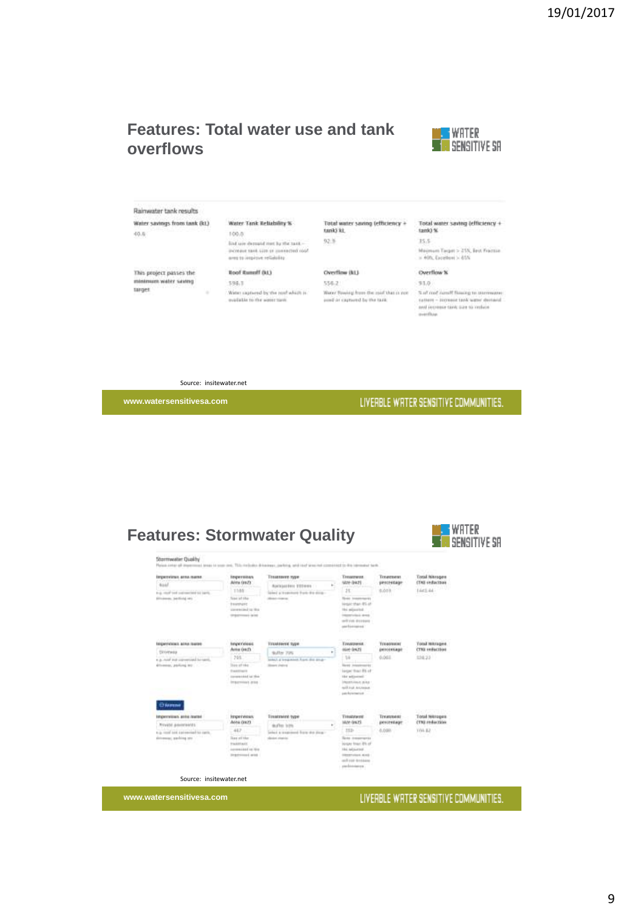### **Features: Total water use and tank overflows**



Raimwater tank results Water savings from tank (kt)

 $(0.0)$ 

This project passes the minimum water saving target

Water Tank Reliability % 100.0 lind use demand met by the taskincrease rank size or connected roof<br>need to improve reliability

### **Boof Runoff (kt)**

398.1 Water saptured by the rest which is matatic to the sourcized.

#### Total water saving (efficiency + tank) ist.  $92.8$

#### Overflow (kt)  $356.2$

 $51.0$ Water Bawing from the mid that is not med or camerd by the task.

Total water saving (efficiency + tank) %

 $15.5 -$ Majmum Target > 25%, Best Framine<br>  $\times$  40%, Excellent > 65%

#### Overflow %

Suit met namit flagging to stammater  $\eta$  (form  $-$  increase tank water decrease)<br>and recrease tank was to verises. merifian

Source: insitewater.net

h.

**www.watersensitivesa.com**

### LIVERBLE WRTER SENSITIVE COMMUNITIES.



**www.watersensitivesa.com**

### LIVERBLE WRTER SENSITIVE COMMUNITIES.

9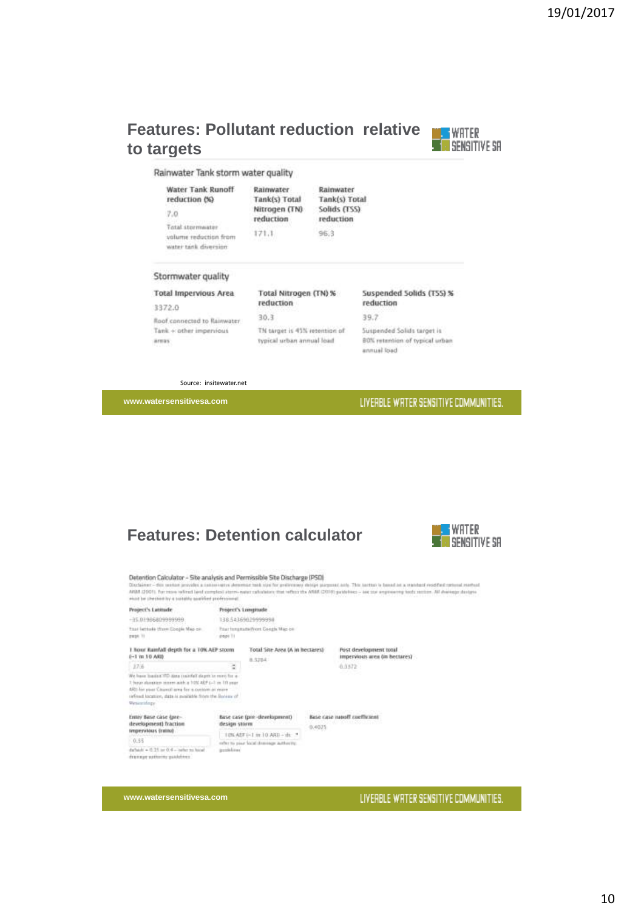## **Features: Pollutant reduction relative to targets**



Rainwater Tank storm water quality

| Water Tank Runoff<br>reduction (%)                                 | Rainwater<br>Tank(s) Total |  |  |
|--------------------------------------------------------------------|----------------------------|--|--|
| 7.0                                                                | Nitrogen (TN)<br>reduction |  |  |
| Total stormwater<br>volume reduction from<br>water tank diversion. | 171.1<br>na arteol         |  |  |

Rainwater Tank(s) Total ogen (TN) Solids (TSS) reduction  $96,3$ 

#### Stormwater quality

**Total Impervious Area** 

#### 3372.0

Roof connected to Rainwater  $Tank + other\ impervious$ arras

reduction  $30.3$ TN target is 45% retention of typical urban annual load

Total Nitrogen (TN) %

#### Suspended Solids (TSS) % reduction

 $39.7$ 

Suspended Solids target is 80% retention of typical urban annual load

Source: insitewater.net

**www.watersensitivesa.com**

### LIVERBLE WRTER SENSITIVE COMMUNITIES.

## **Features: Detention calculator**

**Distance's Longitude** 



#### Detention Calculator - Site analysis and Permissible Site Discharge (PSD)

Professor Lancauser - and at marginal and Permissioner and between the property and The lastice is based at a reached redded intend method.<br>Backleter - dis suites provides a complex reducement and the goldenery design acqu

| $-35.0190680999999$                                                                                                                                                                     | 13854369029999998 |                                                                                                                                                                             |  |                                                          |  |  |
|-----------------------------------------------------------------------------------------------------------------------------------------------------------------------------------------|-------------------|-----------------------------------------------------------------------------------------------------------------------------------------------------------------------------|--|----------------------------------------------------------|--|--|
| tsat lettere three Coopie Map on<br>page 11                                                                                                                                             | pape 11           | Pour forestate (Vert Congls Wap be                                                                                                                                          |  |                                                          |  |  |
| I hour Ramfall depth for a TOK-AEP storm<br>1-1 m 10 ARB                                                                                                                                |                   | Total Site Area (A in hectares)<br>8.5284                                                                                                                                   |  | Post development total<br>Impervious area on bectares)   |  |  |
| 17.6                                                                                                                                                                                    |                   |                                                                                                                                                                             |  | 0.0572                                                   |  |  |
| 3 hour diverties teams with a 10% ADP (=1 m 10 year.<br>ARI for your Chancel area for a custom as reare<br>refined location, data is available from the Bureau of<br><b>Uirtumidage</b> |                   |                                                                                                                                                                             |  |                                                          |  |  |
| Enter Base case (pre-<br>development) fraction<br>Impervious (ratitu)                                                                                                                   |                   | https://www.arcontent.com/arcontent/<br>Base case (pre-development)<br>design storm<br>10% At F = 1 m 10 ARI - th<br>cells) to page local dominate authority.<br>postakines |  | Base case napoli coefficient<br>1999 HAYA BARA<br>0.4025 |  |  |
| 0.95<br>darlands = 0.25 pe 0.4 - talke no hone?<br>drawing authority publishers.                                                                                                        |                   |                                                                                                                                                                             |  |                                                          |  |  |

**www.watersensitivesa.com**

Director Co. Lawrence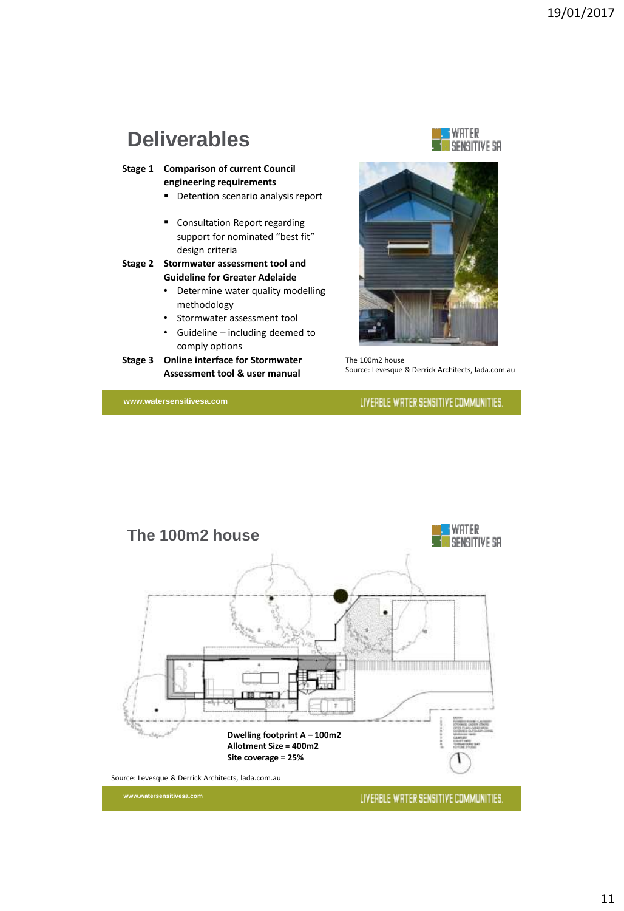# **Deliverables**

**Stage 1 Comparison of current Council engineering requirements**

- **•** Detention scenario analysis report
- Consultation Report regarding support for nominated "best fit" design criteria

### **Stage 2 Stormwater assessment tool and Guideline for Greater Adelaide**

- Determine water quality modelling methodology
- Stormwater assessment tool
- Guideline including deemed to comply options
- **Stage 3 Online interface for Stormwater Assessment tool & user manual**

**www.watersensitivesa.com**

WATER SENSITIVE SR



The 100m2 house Source: Levesque & Derrick Architects, lada.com.au

LIVERBLE WRTER SENSITIVE COMMUNITIES.

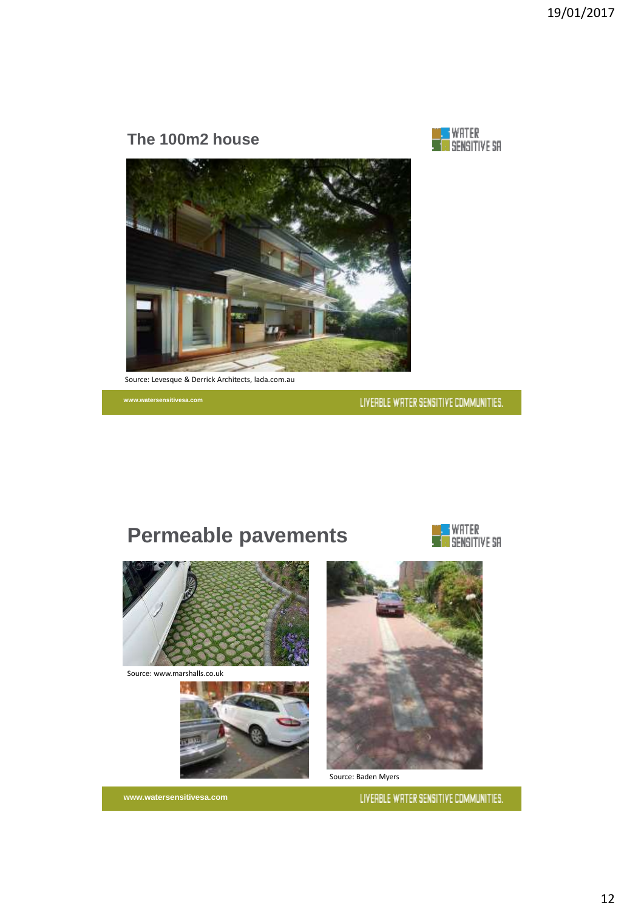## **The 100m2 house**





Source: Levesque & Derrick Architects, lada.com.au

**www.watersensitivesa.com**

LIVERBLE WRTER SENSITIVE COMMUNITIES.



Source: www.marshalls.co.uk



**www.watersensitivesa.com**





Source: Baden Myers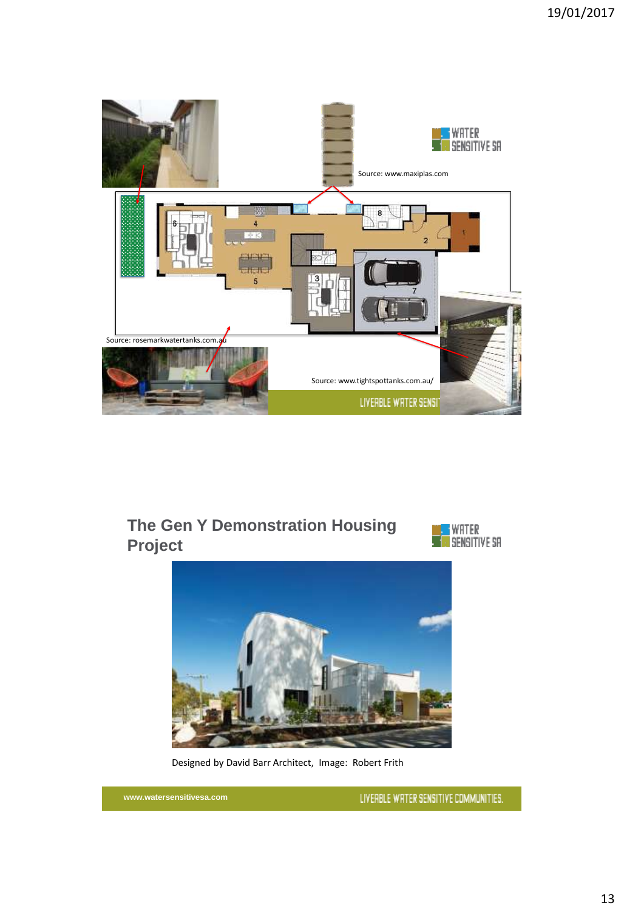

## **The Gen Y Demonstration Housing Project**





Designed by David Barr Architect, Image: Robert Frith

**www.watersensitivesa.com**